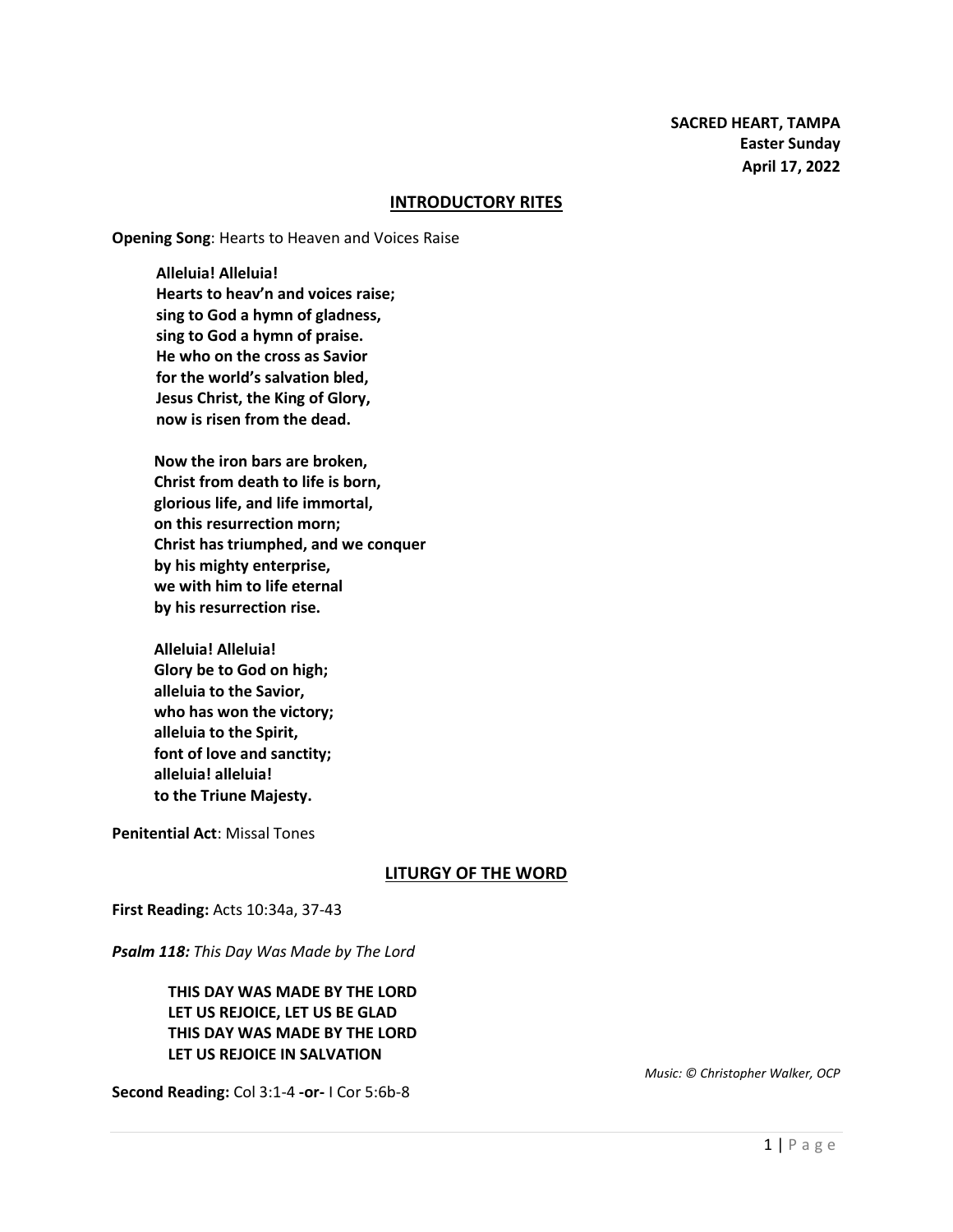#### **INTRODUCTORY RITES**

**Opening Song**: Hearts to Heaven and Voices Raise

**Alleluia! Alleluia! Hearts to heav'n and voices raise; sing to God a hymn of gladness, sing to God a hymn of praise. He who on the cross as Savior for the world's salvation bled, Jesus Christ, the King of Glory, now is risen from the dead.**

**Now the iron bars are broken, Christ from death to life is born, glorious life, and life immortal, on this resurrection morn; Christ has triumphed, and we conquer by his mighty enterprise, we with him to life eternal by his resurrection rise.**

**Alleluia! Alleluia! Glory be to God on high; alleluia to the Savior, who has won the victory; alleluia to the Spirit, font of love and sanctity; alleluia! alleluia! to the Triune Majesty.**

**Penitential Act**: Missal Tones

#### **LITURGY OF THE WORD**

**First Reading:** Acts 10:34a, 37-43

*Psalm 118: This Day Was Made by The Lord*

**THIS DAY WAS MADE BY THE LORD LET US REJOICE, LET US BE GLAD THIS DAY WAS MADE BY THE LORD LET US REJOICE IN SALVATION**

**Second Reading:** Col 3:1-4 **-or-** I Cor 5:6b-8

*Music: © Christopher Walker, OCP*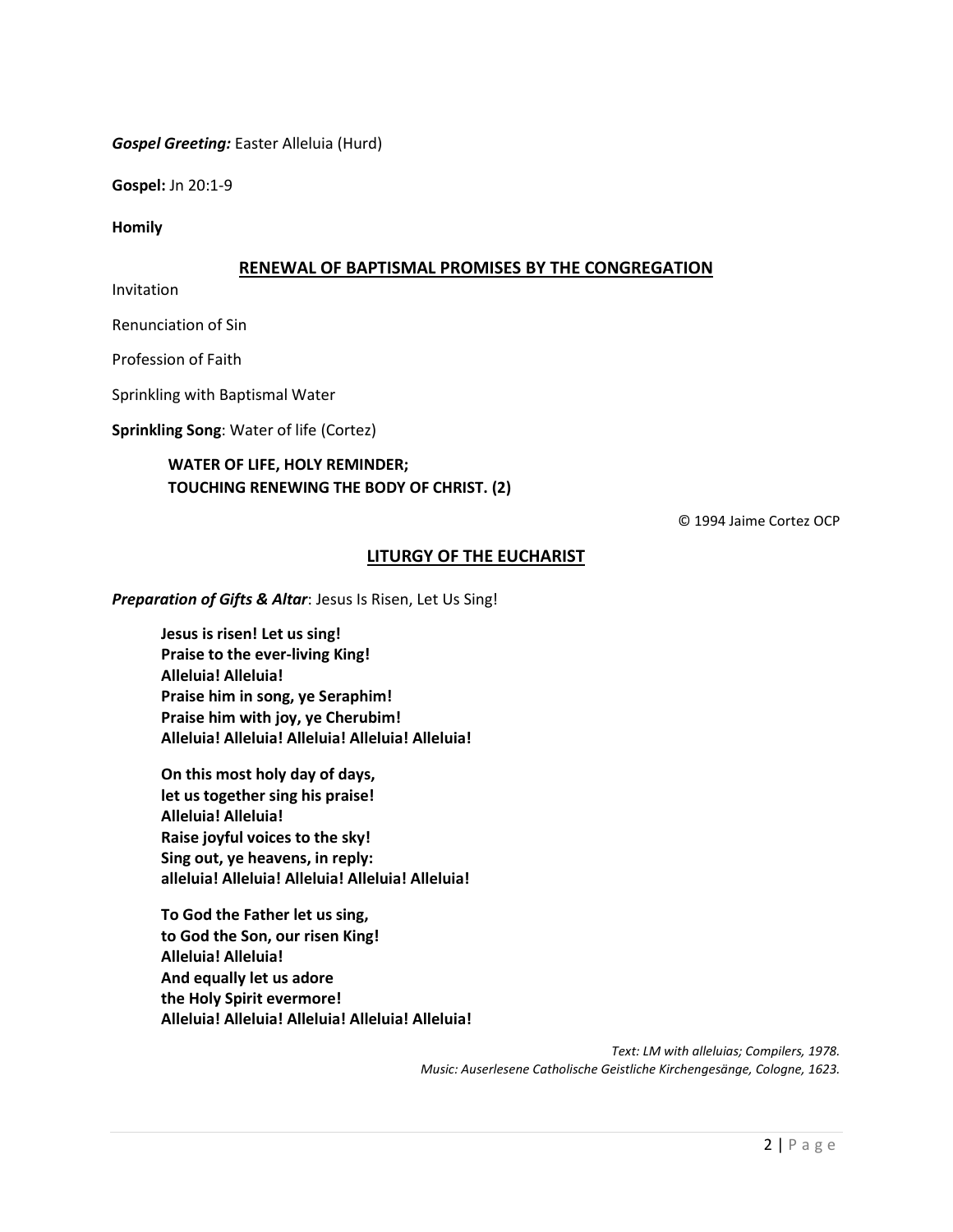### *Gospel Greeting:* Easter Alleluia (Hurd)

**Gospel:** Jn 20:1-9

**Homily**

### **RENEWAL OF BAPTISMAL PROMISES BY THE CONGREGATION**

Invitation

Renunciation of Sin

Profession of Faith

Sprinkling with Baptismal Water

**Sprinkling Song**: Water of life (Cortez)

## **WATER OF LIFE, HOLY REMINDER; TOUCHING RENEWING THE BODY OF CHRIST. (2)**

© 1994 Jaime Cortez OCP

### **LITURGY OF THE EUCHARIST**

*Preparation of Gifts & Altar*: Jesus Is Risen, Let Us Sing!

**Jesus is risen! Let us sing! Praise to the ever-living King! Alleluia! Alleluia! Praise him in song, ye Seraphim! Praise him with joy, ye Cherubim! Alleluia! Alleluia! Alleluia! Alleluia! Alleluia!**

**On this most holy day of days, let us together sing his praise! Alleluia! Alleluia! Raise joyful voices to the sky! Sing out, ye heavens, in reply: alleluia! Alleluia! Alleluia! Alleluia! Alleluia!**

**To God the Father let us sing, to God the Son, our risen King! Alleluia! Alleluia! And equally let us adore the Holy Spirit evermore! Alleluia! Alleluia! Alleluia! Alleluia! Alleluia!**

> *Text: LM with alleluias; Compilers, 1978. Music: Auserlesene Catholische Geistliche Kirchengesänge, Cologne, 1623.*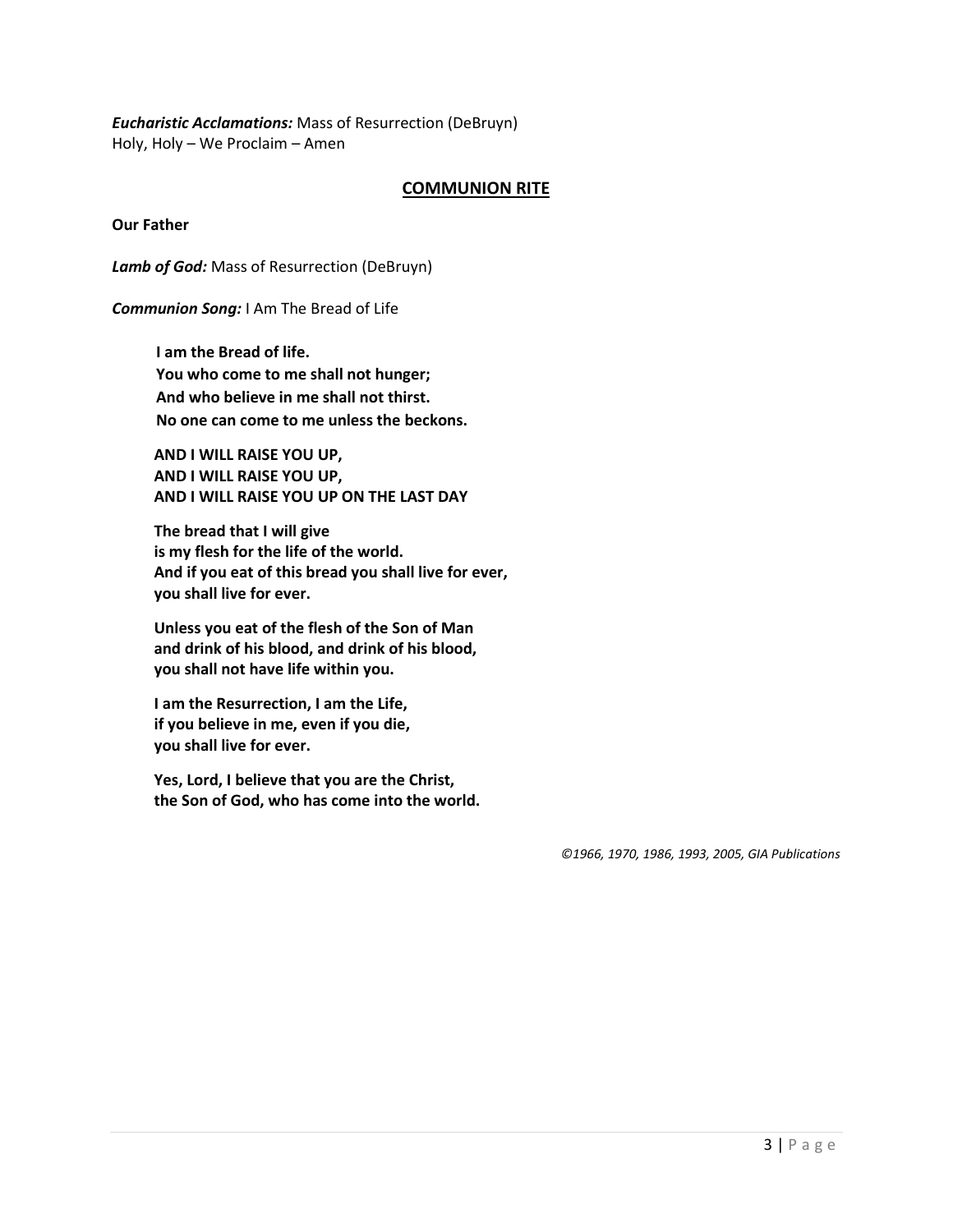*Eucharistic Acclamations:* Mass of Resurrection (DeBruyn) Holy, Holy – We Proclaim – Amen

## **COMMUNION RITE**

**Our Father**

*Lamb of God:* Mass of Resurrection (DeBruyn)

*Communion Song:* I Am The Bread of Life

**I am the Bread of life. You who come to me shall not hunger; And who believe in me shall not thirst. No one can come to me unless the beckons.**

**AND I WILL RAISE YOU UP, AND I WILL RAISE YOU UP, AND I WILL RAISE YOU UP ON THE LAST DAY**

**The bread that I will give is my flesh for the life of the world. And if you eat of this bread you shall live for ever, you shall live for ever.**

**Unless you eat of the flesh of the Son of Man and drink of his blood, and drink of his blood, you shall not have life within you.**

**I am the Resurrection, I am the Life, if you believe in me, even if you die, you shall live for ever.**

**Yes, Lord, I believe that you are the Christ, the Son of God, who has come into the world.**

*©1966, 1970, 1986, 1993, 2005, GIA Publications*